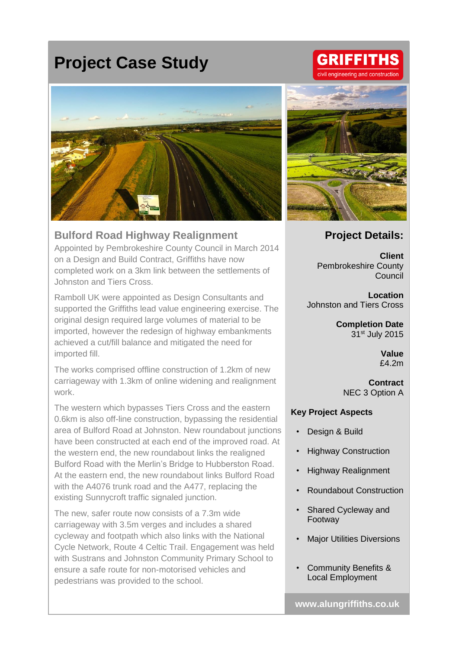# **Project Case Study**



#### **Bulford Road Highway Realignment**

Appointed by Pembrokeshire County Council in March 2014 on a Design and Build Contract, Griffiths have now completed work on a 3km link between the settlements of Johnston and Tiers Cross.

Ramboll UK were appointed as Design Consultants and supported the Griffiths lead value engineering exercise. The original design required large volumes of material to be imported, however the redesign of highway embankments achieved a cut/fill balance and mitigated the need for imported fill.

The works comprised offline construction of 1.2km of new carriageway with 1.3km of online widening and realignment work.

The western which bypasses Tiers Cross and the eastern 0.6km is also off-line construction, bypassing the residential area of Bulford Road at Johnston. New roundabout junctions have been constructed at each end of the improved road. At the western end, the new roundabout links the realigned Bulford Road with the Merlin's Bridge to Hubberston Road. At the eastern end, the new roundabout links Bulford Road with the A4076 trunk road and the A477, replacing the existing Sunnycroft traffic signaled junction.

The new, safer route now consists of a 7.3m wide carriageway with 3.5m verges and includes a shared cycleway and footpath which also links with the National Cycle Network, Route 4 Celtic Trail. Engagement was held with Sustrans and Johnston Community Primary School to ensure a safe route for non-motorised vehicles and pedestrians was provided to the school.

### **Project Details:**

**Client** Pembrokeshire County Council

**Location** Johnston and Tiers Cross

> **Completion Date** 31st July 2015

> > **Value** £4.2m

**Contract** NEC 3 Option A

#### **Key Project Aspects**

- Design & Build
- Highway Construction
- Highway Realignment
- Roundabout Construction
- Shared Cycleway and Footway
- **Major Utilities Diversions**
- Community Benefits & Local Employment

## **GRIFFITHS** gineering and construction